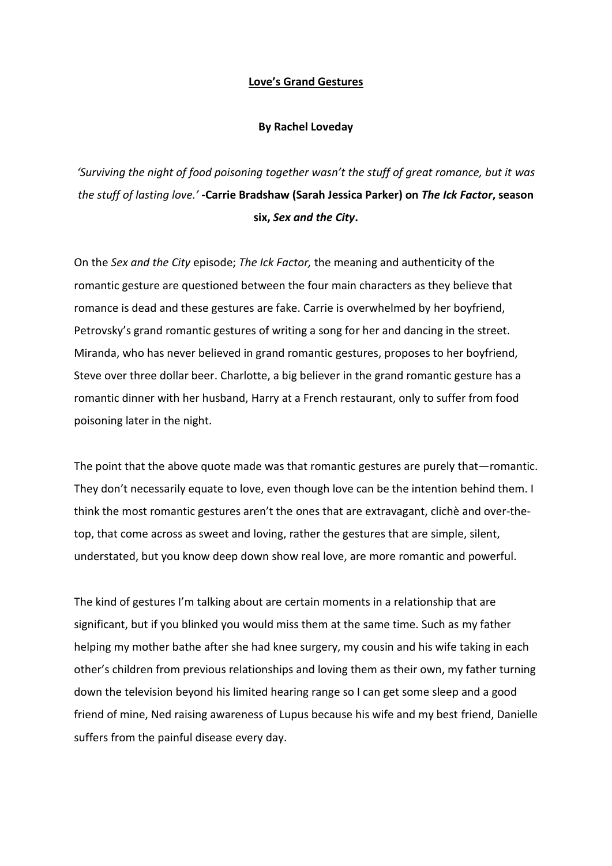## **Love's Grand Gestures**

## **By Rachel Loveday**

*'Surviving the night of food poisoning together wasn't the stuff of great romance, but it was the stuff of lasting love.'* **-Carrie Bradshaw (Sarah Jessica Parker) on** *The Ick Factor***, season six,** *Sex and the City***.**

On the *Sex and the City* episode; *The Ick Factor,* the meaning and authenticity of the romantic gesture are questioned between the four main characters as they believe that romance is dead and these gestures are fake. Carrie is overwhelmed by her boyfriend, Petrovsky's grand romantic gestures of writing a song for her and dancing in the street. Miranda, who has never believed in grand romantic gestures, proposes to her boyfriend, Steve over three dollar beer. Charlotte, a big believer in the grand romantic gesture has a romantic dinner with her husband, Harry at a French restaurant, only to suffer from food poisoning later in the night.

The point that the above quote made was that romantic gestures are purely that—romantic. They don't necessarily equate to love, even though love can be the intention behind them. I think the most romantic gestures aren't the ones that are extravagant, clichè and over-thetop, that come across as sweet and loving, rather the gestures that are simple, silent, understated, but you know deep down show real love, are more romantic and powerful.

The kind of gestures I'm talking about are certain moments in a relationship that are significant, but if you blinked you would miss them at the same time. Such as my father helping my mother bathe after she had knee surgery, my cousin and his wife taking in each other's children from previous relationships and loving them as their own, my father turning down the television beyond his limited hearing range so I can get some sleep and a good friend of mine, Ned raising awareness of Lupus because his wife and my best friend, Danielle suffers from the painful disease every day.